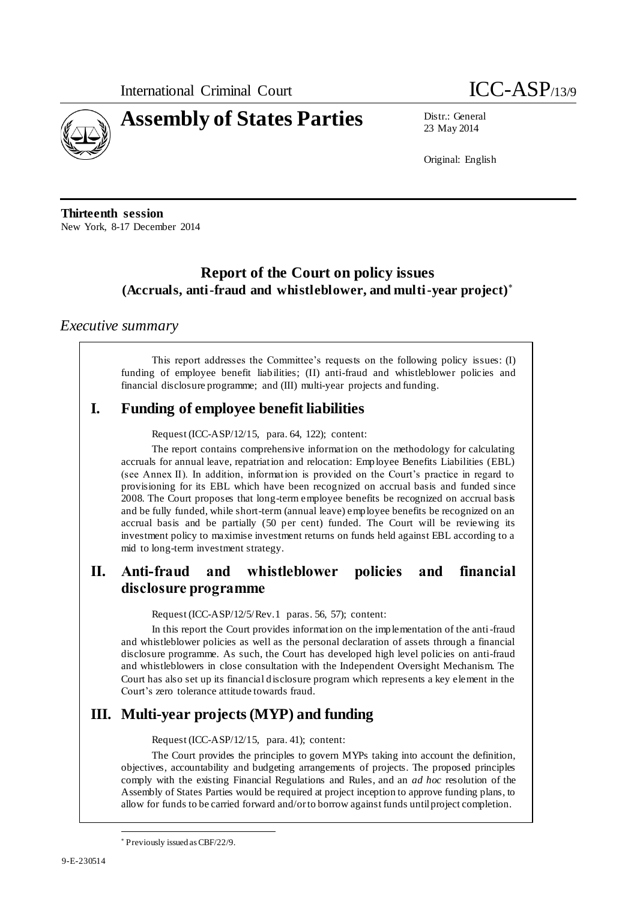

23 May 2014

Original: English

**Thirteenth session** New York, 8-17 December 2014

# **Report of the Court on policy issues (Accruals, anti-fraud and whistleblower, and multi-year project)**

### *Executive summary*

This report addresses the Committee's requests on the following policy issues: (I) funding of employee benefit liabilities; (II) anti-fraud and whistleblower policies and financial disclosure programme; and (III) multi-year projects and funding.

# **I. Funding of employee benefit liabilities**

Request (ICC-ASP/12/15, para. 64, 122); content:

The report contains comprehensive information on the methodology for calculating accruals for annual leave, repatriation and relocation: Employee Benefits Liabilities (EBL) (see Annex II). In addition, information is provided on the Court's practice in regard to provisioning for its EBL which have been recognized on accrual basis and funded since 2008. The Court proposes that long-term employee benefits be recognized on accrual basis and be fully funded, while short-term (annual leave) employee benefits be recognized on an accrual basis and be partially (50 per cent) funded. The Court will be reviewing its investment policy to maximise investment returns on funds held against EBL according to a mid to long-term investment strategy.

# **II. Anti-fraud and whistleblower policies and financial disclosure programme**

Request (ICC-ASP/12/5/Rev.1 paras. 56, 57); content:

In this report the Court provides information on the implementation of the anti-fraud and whistleblower policies as well as the personal declaration of assets through a financial disclosure programme. As such, the Court has developed high level policies on anti-fraud and whistleblowers in close consultation with the Independent Oversight Mechanism. The Court has also set up its financial disclosure program which represents a key element in the Court's zero tolerance attitude towards fraud.

### **III. Multi-year projects (MYP) and funding**

Request (ICC-ASP/12/15, para. 41); content:

The Court provides the principles to govern MYPs taking into account the definition, objectives, accountability and budgeting arrangements of projects. The proposed principles comply with the existing Financial Regulations and Rules, and an *ad hoc* resolution of the Assembly of States Parties would be required at project inception to approve funding plans, to allow for funds to be carried forward and/or to borrow against funds until project completion.

 $\overline{a}$ Previously issued as CBF/22/9.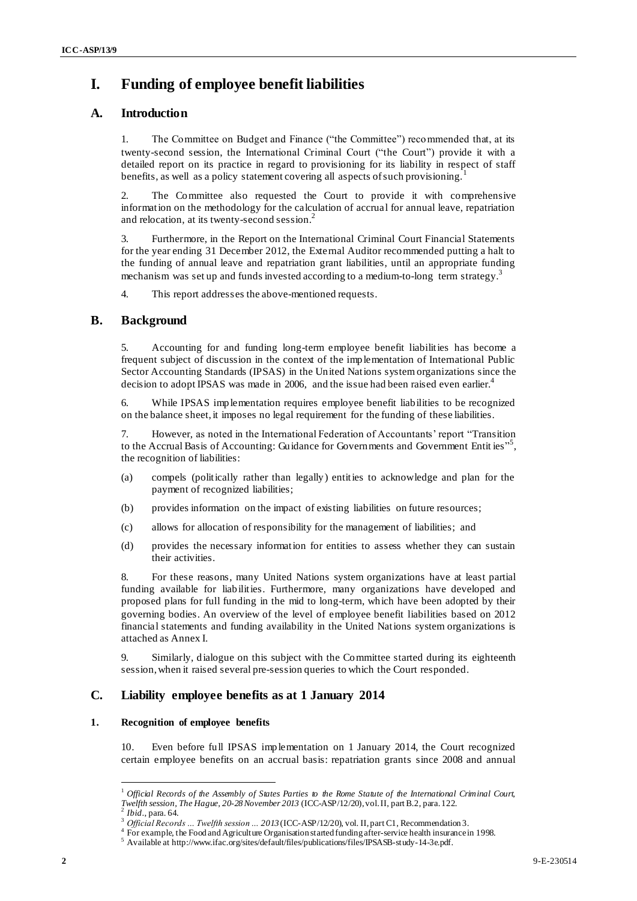# **I. Funding of employee benefit liabilities**

### **A. Introduction**

1. The Committee on Budget and Finance ("the Committee") recommended that, at its twenty-second session, the International Criminal Court ("the Court") provide it with a detailed report on its practice in regard to provisioning for its liability in respect of staff benefits, as well as a policy statement covering all aspects of such provisioning.<sup>1</sup>

2. The Committee also requested the Court to provide it with comprehensive information on the methodology for the calculation of accrual for annual leave, repatriation and relocation, at its twenty-second session.<sup>2</sup>

3. Furthermore, in the Report on the International Criminal Court Financial Statements for the year ending 31 December 2012, the External Auditor recommended putting a halt to the funding of annual leave and repatriation grant liabilities, until an appropriate funding mechanism was set up and funds invested according to a medium-to-long term strategy.<sup>3</sup>

4. This report addresses the above-mentioned requests.

### **B. Background**

5. Accounting for and funding long-term employee benefit liabilities has become a frequent subject of discussion in the context of the implementation of International Public Sector Accounting Standards (IPSAS) in the United Nations system organizations since the decision to adopt IPSAS was made in 2006, and the issue had been raised even earlier.<sup>4</sup>

6. While IPSAS implementation requires employee benefit liabilities to be recognized on the balance sheet, it imposes no legal requirement for the funding of these liabilities.

7. However, as noted in the International Federation of Accountants' report "Transition to the Accrual Basis of Accounting: Guidance for Governments and Government Entities"<sup>5</sup>, the recognition of liabilities:

- (a) compels (politically rather than legally) entities to acknowledge and plan for the payment of recognized liabilities;
- (b) provides information on the impact of existing liabilities on future resources;
- (c) allows for allocation of responsibility for the management of liabilities; and
- (d) provides the necessary information for entities to assess whether they can sustain their activities.

8. For these reasons, many United Nations system organizations have at least partial funding available for liabilities. Furthermore, many organizations have developed and proposed plans for full funding in the mid to long-term, which have been adopted by their governing bodies. An overview of the level of employee benefit liabilities based on 2012 financial statements and funding availability in the United Nations system organizations is attached as Annex I.

9. Similarly, dialogue on this subject with the Committee started during its eighteenth session,when it raised several pre-session queries to which the Court responded.

### **C. Liability employee benefits as at 1 January 2014**

#### **1. Recognition of employee benefits**

10. Even before full IPSAS implementation on 1 January 2014, the Court recognized certain employee benefits on an accrual basis: repatriation grants since 2008 and annual

<sup>1</sup> *Official Records of the Assembly of States Parties to the Rome Statute of the International Criminal Court, Twelfth session, The Hague, 20-28 November 2013* (ICC-ASP/12/20), vol. II, part B.2, para. 122.

<sup>2</sup> *Ibid*., para. 64.

<sup>3</sup> *Official Records … Twelfth session … 2013* (ICC-ASP/12/20), vol. II, part C1, Recommendation 3.

<sup>&</sup>lt;sup>4</sup> For example, the Food and Agriculture Organisation started funding after-service health insurance in 1998.

 $5$  Available at http://www.ifac.org/sites/default/files/publications/files/IPSASB-study-14-3e.pdf.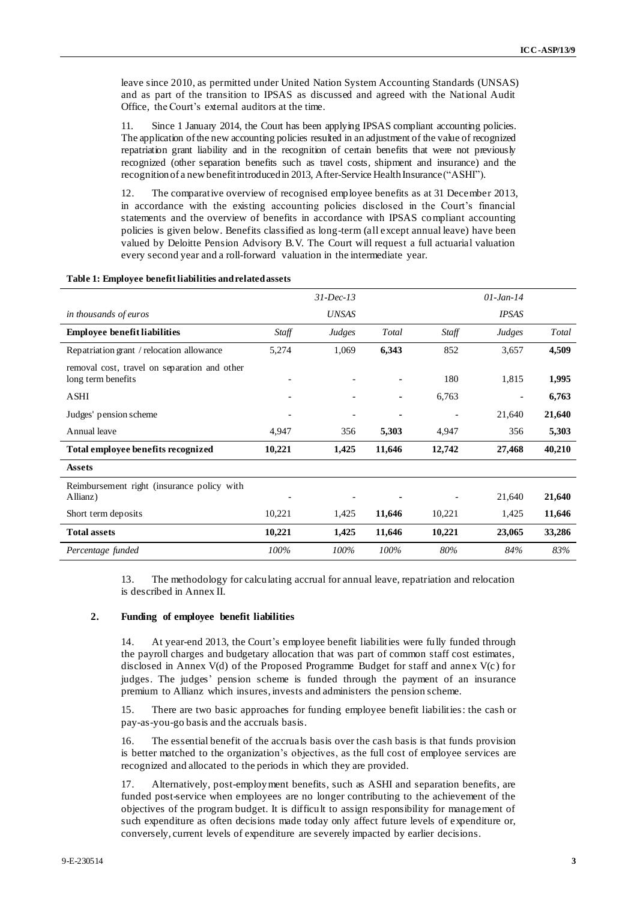leave since 2010, as permitted under United Nation System Accounting Standards (UNSAS) and as part of the transition to IPSAS as discussed and agreed with the National Audit Office, the Court's external auditors at the time.

11. Since 1 January 2014, the Court has been applying IPSAS compliant accounting policies. The application of the new accounting policies resulted in an adjustment of the value of recognized repatriation grant liability and in the recognition of certain benefits that were not previously recognized (other separation benefits such as travel costs, shipment and insurance) and the recognition of a new benefit introduced in 2013, After-Service Health Insurance("ASHI").

12. The comparative overview of recognised employee benefits as at 31 December 2013, in accordance with the existing accounting policies disclosed in the Court's financial statements and the overview of benefits in accordance with IPSAS compliant accounting policies is given below. Benefits classified as long-term (all except annual leave) have been valued by Deloitte Pension Advisory B.V. The Court will request a full actuarial valuation every second year and a roll-forward valuation in the intermediate year.

|                                                                    |        | $31$ -Dec-13             |                |                          | $01$ -Jan-14 |        |
|--------------------------------------------------------------------|--------|--------------------------|----------------|--------------------------|--------------|--------|
| in thousands of euros                                              |        | <b>UNSAS</b>             |                |                          | <b>IPSAS</b> |        |
| <b>Employee benefit liabilities</b>                                | Staff  | Judges                   | Total          | Staff                    | Judges       | Total  |
| Repatriation grant / relocation allowance                          | 5,274  | 1,069                    | 6,343          | 852                      | 3,657        | 4,509  |
| removal cost, travel on separation and other<br>long term benefits |        |                          | $\blacksquare$ | 180                      | 1,815        | 1,995  |
| <b>ASHI</b>                                                        |        |                          | $\blacksquare$ | 6,763                    |              | 6,763  |
| Judges' pension scheme                                             |        | $\overline{\phantom{a}}$ | ۰              | $\overline{\phantom{a}}$ | 21,640       | 21,640 |
| Annual leave                                                       | 4,947  | 356                      | 5,303          | 4,947                    | 356          | 5,303  |
| Total employee benefits recognized                                 | 10,221 | 1,425                    | 11,646         | 12,742                   | 27,468       | 40,210 |
| <b>Assets</b>                                                      |        |                          |                |                          |              |        |
| Reimbursement right (insurance policy with<br>Allianz)             |        |                          |                |                          | 21,640       | 21,640 |
| Short term deposits                                                | 10,221 | 1,425                    | 11,646         | 10,221                   | 1,425        | 11,646 |
| <b>Total assets</b>                                                | 10,221 | 1,425                    | 11,646         | 10,221                   | 23,065       | 33,286 |
| Percentage funded                                                  | 100%   | 100%                     | $100\%$        | 80%                      | 84%          | 83%    |

#### **Table 1: Employee benefit liabilities and related assets**

13. The methodology for calculating accrual for annual leave, repatriation and relocation is described in Annex II.

#### **2. Funding of employee benefit liabilities**

At year-end 2013, the Court's employee benefit liabilities were fully funded through the payroll charges and budgetary allocation that was part of common staff cost estimates, disclosed in Annex V(d) of the Proposed Programme Budget for staff and annex V(c) for judges. The judges' pension scheme is funded through the payment of an insurance premium to Allianz which insures, invests and administers the pension scheme.

15. There are two basic approaches for funding employee benefit liabilities: the cash or pay-as-you-go basis and the accruals basis.

16. The essential benefit of the accruals basis over the cash basis is that funds provision is better matched to the organization's objectives, as the full cost of employee services are recognized and allocated to the periods in which they are provided.

17. Alternatively, post-employment benefits, such as ASHI and separation benefits, are funded post-service when employees are no longer contributing to the achievement of the objectives of the program budget. It is difficult to assign responsibility for management of such expenditure as often decisions made today only affect future levels of expenditure or, conversely, current levels of expenditure are severely impacted by earlier decisions.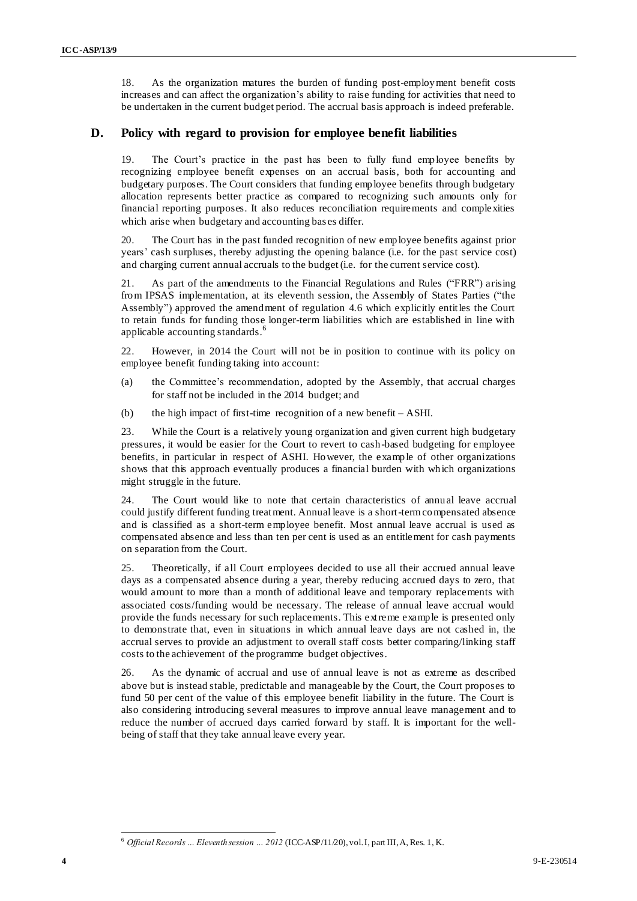18. As the organization matures the burden of funding post-employment benefit costs <sup>4</sup> increases and can affect the organization's ability to raise funding for activities that need to be undertaken in the current budget period. The accrual basis approach is indeed preferable.

### **D. Policy with regard to provision for employee benefit liabilities**

The Court's practice in the past has been to fully fund employee benefits by recognizing employee benefit expenses on an accrual basis, both for accounting and budgetary purposes. The Court considers that funding employee benefits through budgetary allocation represents better practice as compared to recognizing such amounts only for financial reporting purposes. It also reduces reconciliation requirements and complexities which arise when budgetary and accounting bas es differ.

20. The Court has in the past funded recognition of new employee benefits against prior years' cash surpluses, thereby adjusting the opening balance (i.e. for the past service cost) and charging current annual accruals to the budget (i.e. for the current service cost).

21. As part of the amendments to the Financial Regulations and Rules ("FRR") arising from IPSAS implementation, at its eleventh session, the Assembly of States Parties ("the Assembly") approved the amendment of regulation 4.6 which explicitly entitles the Court to retain funds for funding those longer-term liabilities which are established in line with applicable accounting standards.<sup>6</sup>

22. However, in 2014 the Court will not be in position to continue with its policy on employee benefit funding taking into account:

- (a) the Committee's recommendation, adopted by the Assembly, that accrual charges for staff not be included in the 2014 budget; and
- (b) the high impact of first-time recognition of a new benefit ASHI.

23. While the Court is a relatively young organization and given current high budgetary pressures, it would be easier for the Court to revert to cash-based budgeting for employee benefits, in particular in respect of ASHI. However, the example of other organizations shows that this approach eventually produces a financial burden with which organizations might struggle in the future.

24. The Court would like to note that certain characteristics of annual leave accrual could justify different funding treatment. Annual leave is a short-term compensated absence and is classified as a short-term employee benefit. Most annual leave accrual is used as compensated absence and less than ten per cent is used as an entitlement for cash payments on separation from the Court.

25. Theoretically, if all Court employees decided to use all their accrued annual leave days as a compensated absence during a year, thereby reducing accrued days to zero, that would amount to more than a month of additional leave and temporary replacements with associated costs/funding would be necessary. The release of annual leave accrual would provide the funds necessary for such replacements. This extreme example is presented only to demonstrate that, even in situations in which annual leave days are not cashed in, the accrual serves to provide an adjustment to overall staff costs better comparing/linking staff costs to the achievement of the programme budget objectives.

26. As the dynamic of accrual and use of annual leave is not as extreme as described above but is instead stable, predictable and manageable by the Court, the Court proposes to fund 50 per cent of the value of this employee benefit liability in the future. The Court is also considering introducing several measures to improve annual leave management and to reduce the number of accrued days carried forward by staff. It is important for the wellbeing of staff that they take annual leave every year.

 $\overline{a}$ <sup>6</sup> *Official Records … Eleventh session … 2012* (ICC-ASP/11/20), vol. I, part III, A, Res. 1, K.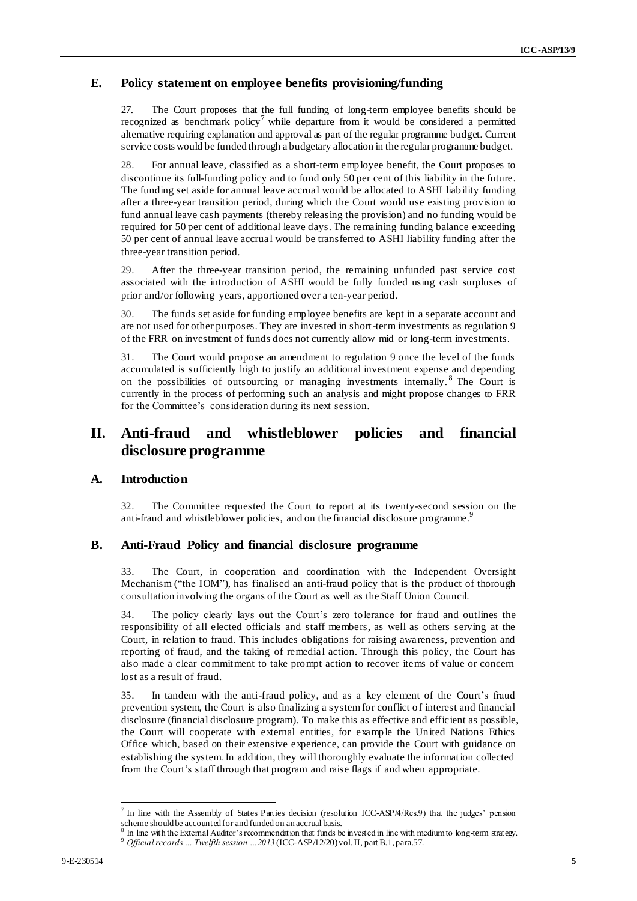### **E.** <sup>5</sup> **Policy statement on employee benefits provisioning/funding**

27. The Court proposes that the full funding of long-term employee benefits should be recognized as benchmark policy<sup>7</sup> while departure from it would be considered a permitted alternative requiring explanation and approval as part of the regular programme budget. Current service costs would be funded through a budgetary allocation in the regular programme budget.

28. For annual leave, classified as a short-term employee benefit, the Court proposes to discontinue its full-funding policy and to fund only 50 per cent of this liability in the future. The funding set aside for annual leave accrual would be allocated to ASHI liability funding after a three-year transition period, during which the Court would use existing provision to fund annual leave cash payments (thereby releasing the provision) and no funding would be required for 50 per cent of additional leave days. The remaining funding balance exceeding 50 per cent of annual leave accrual would be transferred to ASHI liability funding after the three-year transition period.

29. After the three-year transition period, the remaining unfunded past service cost associated with the introduction of ASHI would be fully funded using cash surpluses of prior and/or following years, apportioned over a ten-year period.

30. The funds set aside for funding employee benefits are kept in a separate account and are not used for other purposes. They are invested in short-term investments as regulation 9 of the FRR on investment of funds does not currently allow mid or long-term investments.

31. The Court would propose an amendment to regulation 9 once the level of the funds accumulated is sufficiently high to justify an additional investment expense and depending on the possibilities of outsourcing or managing investments internally.<sup>8</sup> The Court is currently in the process of performing such an analysis and might propose changes to FRR for the Committee's consideration during its next session.

## **II. Anti-fraud and whistleblower policies and financial disclosure programme**

### **A. Introduction**

32. The Committee requested the Court to report at its twenty-second session on the anti-fraud and whistleblower policies, and on the financial disclosure programme.<sup>9</sup>

#### **B. Anti-Fraud Policy and financial disclosure programme**

33. The Court, in cooperation and coordination with the Independent Oversight Mechanism ("the IOM"), has finalised an anti-fraud policy that is the product of thorough consultation involving the organs of the Court as well as the Staff Union Council.

34. The policy clearly lays out the Court's zero tolerance for fraud and outlines the responsibility of all elected officials and staff members, as well as others serving at the Court, in relation to fraud. This includes obligations for raising awareness, prevention and reporting of fraud, and the taking of remedial action. Through this policy, the Court has also made a clear commitment to take prompt action to recover items of value or concern lost as a result of fraud.

35. In tandem with the anti-fraud policy, and as a key element of the Court's fraud prevention system, the Court is also finalizing a system for conflict of interest and financial disclosure (financial disclosure program). To make this as effective and efficient as possible, the Court will cooperate with external entities, for example the United Nations Ethics Office which, based on their extensive experience, can provide the Court with guidance on establishing the system. In addition, they will thoroughly evaluate the information collected from the Court's staff through that program and raise flags if and when appropriate.

 7 In line with the Assembly of States Parties decision (resolution ICC-ASP/4/Res.9) that the judges' pension scheme should be accounted for and funded on an accrual basis.

In line with the External Auditor's recommendation that funds be invested in line with medium to long-term strategy.  $^9$  Official records  $\ldots$  Twelfth session  $\ldots 2013$  (ICC-ASP/12/20) vol. II, part B.1, para.57.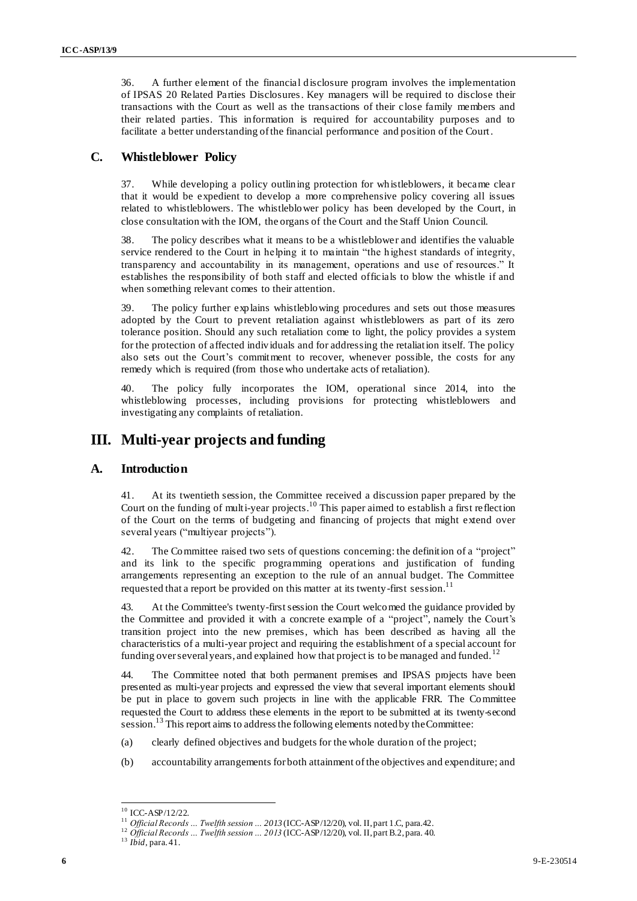36. A further element of the financial disclosure program involves the implementation <sup>6</sup> of IPSAS 20 Related Parties Disclosures. Key managers will be required to disclose their transactions with the Court as well as the transactions of their close family members and their related parties. This information is required for accountability purposes and to facilitate a better understanding of the financial performance and position of the Court.

### **C. Whistleblower Policy**

37. While developing a policy outlining protection for whistleblowers, it became clear that it would be expedient to develop a more comprehensive policy covering all issues related to whistleblowers. The whistleblower policy has been developed by the Court, in close consultation with the IOM, the organs of the Court and the Staff Union Council.

38. The policy describes what it means to be a whistleblower and identifies the valuable service rendered to the Court in helping it to maintain "the highest standards of integrity, transparency and accountability in its management, operations and use of resources." It establishes the responsibility of both staff and elected officials to blow the whistle if and when something relevant comes to their attention.

39. The policy further explains whistleblowing procedures and sets out those measures adopted by the Court to prevent retaliation against whistleblowers as part of its zero tolerance position. Should any such retaliation come to light, the policy provides a system for the protection of affected individuals and for addressing the retaliation itself. The policy also sets out the Court's commitment to recover, whenever possible, the costs for any remedy which is required (from those who undertake acts of retaliation).

40. The policy fully incorporates the IOM, operational since 2014, into the whistleblowing processes, including provisions for protecting whistleblowers and investigating any complaints of retaliation.

### **III. Multi-year projects and funding**

### **A. Introduction**

41. At its twentieth session, the Committee received a discussion paper prepared by the Court on the funding of multi-year projects.<sup>10</sup> This paper aimed to establish a first reflection of the Court on the terms of budgeting and financing of projects that might extend over several years ("multiyear projects").

42. The Committee raised two sets of questions concerning: the definition of a "project" and its link to the specific programming operations and justification of funding arrangements representing an exception to the rule of an annual budget. The Committee requested that a report be provided on this matter at its twenty-first session.<sup>11</sup>

43. At the Committee's twenty-firstsession the Court welcomed the guidance provided by the Committee and provided it with a concrete example of a "project", namely the Court's transition project into the new premises, which has been described as having all the characteristics of a multi-year project and requiring the establishment of a special account for funding over several years, and explained how that project is to be managed and funded.<sup>1</sup>

44. The Committee noted that both permanent premises and IPSAS projects have been presented as multi-year projects and expressed the view that several important elements should be put in place to govern such projects in line with the applicable FRR. The Committee requested the Court to address these elements in the report to be submitted at its twenty-second session.<sup>13</sup> This report aims to address the following elements noted by the Committee:

- (a) clearly defined objectives and budgets for the whole duration of the project;
- (b) accountability arrangements for both attainment ofthe objectives and expenditure; and

<sup>13</sup> *Ibid*, para. 41.

 $10$  ICC-ASP/12/22.

<sup>11</sup> *Official Records … Twelfth session … 2013* (ICC-ASP/12/20), vol. II, part 1.C, para.42.

<sup>12</sup> *Official Records … Twelfth session … 2013* (ICC-ASP/12/20), vol. II, part B.2, para. 40.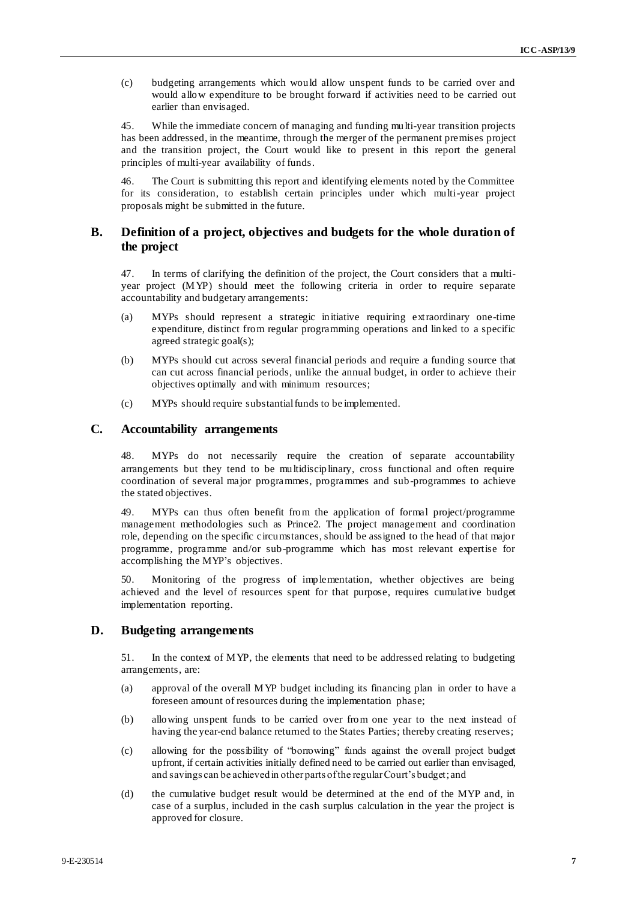(c) budgeting arrangements which would allow unspent funds to be carried over and <sup>7</sup> would allow expenditure to be brought forward if activities need to be carried out earlier than envisaged.

45. While the immediate concern of managing and funding multi-year transition projects has been addressed, in the meantime, through the merger of the permanent premises project and the transition project, the Court would like to present in this report the general principles of multi-year availability of funds.

46. The Court is submitting this report and identifying elements noted by the Committee for its consideration, to establish certain principles under which multi-year project proposals might be submitted in the future.

### **B. Definition of a project, objectives and budgets for the whole duration of the project**

47. In terms of clarifying the definition of the project, the Court considers that a multiyear project (MYP) should meet the following criteria in order to require separate accountability and budgetary arrangements:

- (a) MYPs should represent a strategic initiative requiring extraordinary one-time expenditure, distinct from regular programming operations and linked to a specific agreed strategic goal(s);
- (b) MYPs should cut across several financial periods and require a funding source that can cut across financial periods, unlike the annual budget, in order to achieve their objectives optimally and with minimum resources;
- (c) MYPs should require substantial funds to be implemented.

#### **C. Accountability arrangements**

48. MYPs do not necessarily require the creation of separate accountability arrangements but they tend to be multidisciplinary, cross functional and often require coordination of several major programmes, programmes and sub-programmes to achieve the stated objectives.

49. MYPs can thus often benefit from the application of formal project/programme management methodologies such as Prince2. The project management and coordination role, depending on the specific circumstances, should be assigned to the head of that major programme, programme and/or sub-programme which has most relevant expertise for accomplishing the MYP's objectives.

50. Monitoring of the progress of implementation, whether objectives are being achieved and the level of resources spent for that purpose, requires cumulative budget implementation reporting.

### **D. Budgeting arrangements**

51. In the context of MYP, the elements that need to be addressed relating to budgeting arrangements, are:

- (a) approval of the overall MYP budget including its financing plan in order to have a foreseen amount of resources during the implementation phase;
- (b) allowing unspent funds to be carried over from one year to the next instead of having the year-end balance returned to the States Parties; thereby creating reserves;
- (c) allowing for the possibility of "borrowing" funds against the overall project budget upfront, if certain activities initially defined need to be carried out earlier than envisaged, and savings can be achieved in other parts of the regular Court's budget;and
- (d) the cumulative budget result would be determined at the end of the MYP and, in case of a surplus, included in the cash surplus calculation in the year the project is approved for closure.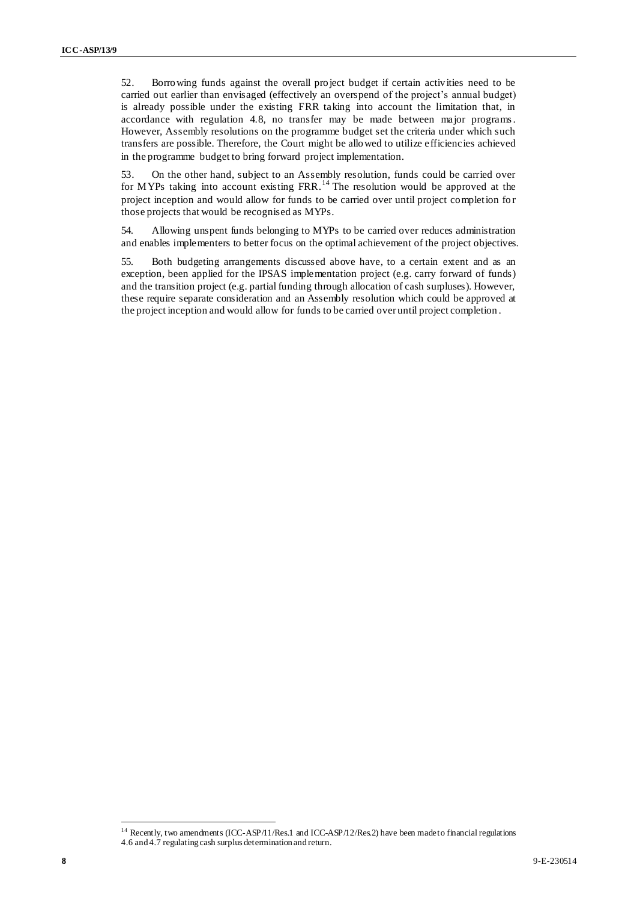52. Borrowing funds against the overall project budget if certain activities need to be <sup>8</sup> carried out earlier than envisaged (effectively an overspend of the project's annual budget) is already possible under the existing FRR taking into account the limitation that, in accordance with regulation 4.8, no transfer may be made between major programs. However, Assembly resolutions on the programme budget set the criteria under which such transfers are possible. Therefore, the Court might be allowed to utilize efficiencies achieved in the programme budget to bring forward project implementation.

53. On the other hand, subject to an Assembly resolution, funds could be carried over for MYPs taking into account existing  $FRR$ .<sup>14</sup> The resolution would be approved at the project inception and would allow for funds to be carried over until project completion for those projects that would be recognised as MYPs.

54. Allowing unspent funds belonging to MYPs to be carried over reduces administration and enables implementers to better focus on the optimal achievement of the project objectives.

55. Both budgeting arrangements discussed above have, to a certain extent and as an exception, been applied for the IPSAS implementation project (e.g. carry forward of funds) and the transition project (e.g. partial funding through allocation of cash surpluses). However, these require separate consideration and an Assembly resolution which could be approved at the project inception and would allow for funds to be carried over until project completion .

<sup>&</sup>lt;sup>14</sup> Recently, two amendments (ICC-ASP/11/Res.1 and ICC-ASP/12/Res.2) have been made to financial regulations 4.6 and 4.7 regulating cash surplus determination and return.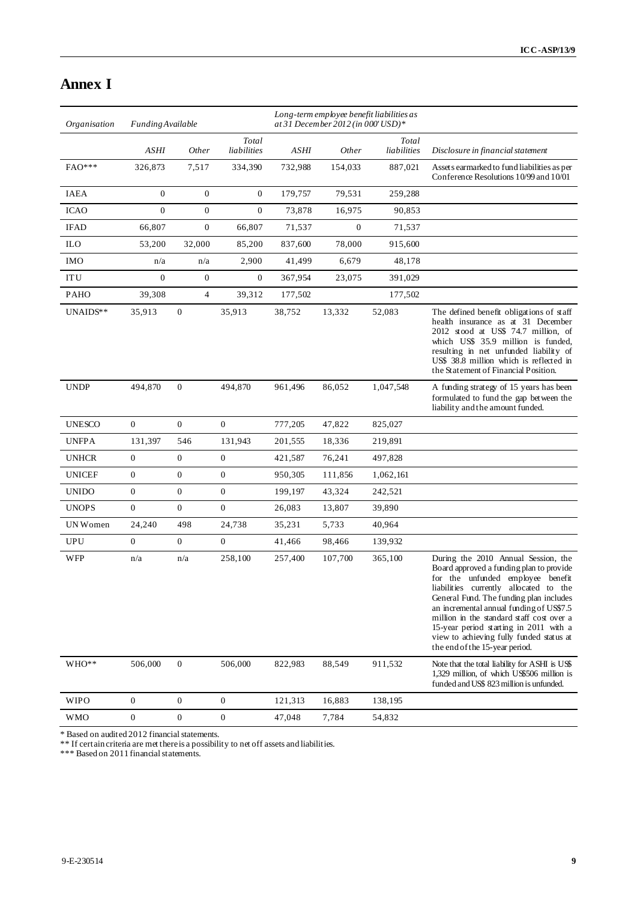# **Annex I**

| Organisation  |                  | Long-term employee benefit liabilities as<br>at 31 December 2012 (in 000' USD)*<br><b>Funding Available</b> |                      |         |                |                      |                                                                                                                                                                                                                                                                                                                                                                                                                            |
|---------------|------------------|-------------------------------------------------------------------------------------------------------------|----------------------|---------|----------------|----------------------|----------------------------------------------------------------------------------------------------------------------------------------------------------------------------------------------------------------------------------------------------------------------------------------------------------------------------------------------------------------------------------------------------------------------------|
|               | <b>ASHI</b>      | Other                                                                                                       | Total<br>liabilities | ASHI    | <i>Other</i>   | Total<br>liabilities | Disclosure in financial statement                                                                                                                                                                                                                                                                                                                                                                                          |
| FAO***        | 326,873          | 7.517                                                                                                       | 334,390              | 732,988 | 154,033        | 887,021              | Asset s earmarked to fund liabilities as per<br>Conference Resolutions 10/99 and 10/01                                                                                                                                                                                                                                                                                                                                     |
| <b>IAEA</b>   | $\overline{0}$   | $\mathbf{0}$                                                                                                | $\boldsymbol{0}$     | 179,757 | 79,531         | 259,288              |                                                                                                                                                                                                                                                                                                                                                                                                                            |
| <b>ICAO</b>   | $\boldsymbol{0}$ | $\boldsymbol{0}$                                                                                            | $\mathbf{0}$         | 73,878  | 16,975         | 90,853               |                                                                                                                                                                                                                                                                                                                                                                                                                            |
| <b>IFAD</b>   | 66,807           | $\boldsymbol{0}$                                                                                            | 66,807               | 71,537  | $\overline{0}$ | 71,537               |                                                                                                                                                                                                                                                                                                                                                                                                                            |
| <b>ILO</b>    | 53,200           | 32,000                                                                                                      | 85,200               | 837,600 | 78,000         | 915.600              |                                                                                                                                                                                                                                                                                                                                                                                                                            |
| <b>IMO</b>    | n/a              | n/a                                                                                                         | 2,900                | 41,499  | 6,679          | 48,178               |                                                                                                                                                                                                                                                                                                                                                                                                                            |
| <b>ITU</b>    | $\overline{0}$   | $\boldsymbol{0}$                                                                                            | $\boldsymbol{0}$     | 367,954 | 23,075         | 391,029              |                                                                                                                                                                                                                                                                                                                                                                                                                            |
| <b>PAHO</b>   | 39,308           | $\overline{4}$                                                                                              | 39,312               | 177,502 |                | 177,502              |                                                                                                                                                                                                                                                                                                                                                                                                                            |
| UNAIDS**      | 35,913           | $\boldsymbol{0}$                                                                                            | 35,913               | 38,752  | 13,332         | 52,083               | The defined benefit obligations of staff<br>health insurance as at 31 December<br>2012 stood at US\$ 74.7 million, of<br>which US\$ 35.9 million is funded,<br>resulting in net unfunded liability of<br>US\$ 38.8 million which is reflected in<br>the Statement of Financial Position.                                                                                                                                   |
| <b>UNDP</b>   | 494,870          | $\overline{0}$                                                                                              | 494,870              | 961,496 | 86,052         | 1,047,548            | A funding strategy of 15 years has been<br>formulated to fund the gap between the<br>liability and the amount funded.                                                                                                                                                                                                                                                                                                      |
| <b>UNESCO</b> | $\overline{0}$   | $\overline{0}$                                                                                              | $\mathbf{0}$         | 777,205 | 47,822         | 825,027              |                                                                                                                                                                                                                                                                                                                                                                                                                            |
| <b>UNFPA</b>  | 131,397          | 546                                                                                                         | 131,943              | 201,555 | 18,336         | 219,891              |                                                                                                                                                                                                                                                                                                                                                                                                                            |
| <b>UNHCR</b>  | $\overline{0}$   | $\overline{0}$                                                                                              | $\overline{0}$       | 421,587 | 76,241         | 497,828              |                                                                                                                                                                                                                                                                                                                                                                                                                            |
| <b>UNICEF</b> | $\boldsymbol{0}$ | $\boldsymbol{0}$                                                                                            | $\boldsymbol{0}$     | 950,305 | 111,856        | 1,062,161            |                                                                                                                                                                                                                                                                                                                                                                                                                            |
| <b>UNIDO</b>  | $\boldsymbol{0}$ | 0                                                                                                           | $\boldsymbol{0}$     | 199,197 | 43,324         | 242,521              |                                                                                                                                                                                                                                                                                                                                                                                                                            |
| <b>UNOPS</b>  | $\overline{0}$   | $\overline{0}$                                                                                              | $\overline{0}$       | 26,083  | 13,807         | 39,890               |                                                                                                                                                                                                                                                                                                                                                                                                                            |
| UN Women      | 24,240           | 498                                                                                                         | 24,738               | 35,231  | 5,733          | 40,964               |                                                                                                                                                                                                                                                                                                                                                                                                                            |
| <b>UPU</b>    | $\mathbf{0}$     | $\overline{0}$                                                                                              | $\mathbf{0}$         | 41,466  | 98,466         | 139,932              |                                                                                                                                                                                                                                                                                                                                                                                                                            |
| <b>WFP</b>    | n/a              | n/a                                                                                                         | 258,100              | 257,400 | 107,700        | 365,100              | During the 2010 Annual Session, the<br>Board approved a funding plan to provide<br>for the unfunded employee benefit<br>liabilities currently allocated to the<br>General Fund. The funding plan includes<br>an incremental annual funding of US\$7.5<br>million in the standard staff cost over a<br>15-year period starting in 2011 with a<br>view to achieving fully funded status at<br>the end of the 15-year period. |
| WHO**         | 506,000          | $\boldsymbol{0}$                                                                                            | 506,000              | 822,983 | 88,549         | 911,532              | Note that the total liability for ASHI is US\$<br>1,329 million, of which US\$506 million is<br>funded and US\$ 823 million is unfunded.                                                                                                                                                                                                                                                                                   |
| <b>WIPO</b>   | $\boldsymbol{0}$ | $\boldsymbol{0}$                                                                                            | $\boldsymbol{0}$     | 121,313 | 16,883         | 138,195              |                                                                                                                                                                                                                                                                                                                                                                                                                            |
| <b>WMO</b>    | $\boldsymbol{0}$ | $\boldsymbol{0}$                                                                                            | $\boldsymbol{0}$     | 47,048  | 7,784          | 54,832               |                                                                                                                                                                                                                                                                                                                                                                                                                            |

\* Based on audited 2012 financial statements.

\*\* If certain criteria are met there is a possibility to net off assets and liabilities.

\*\*\* Based on 2011 financial statements.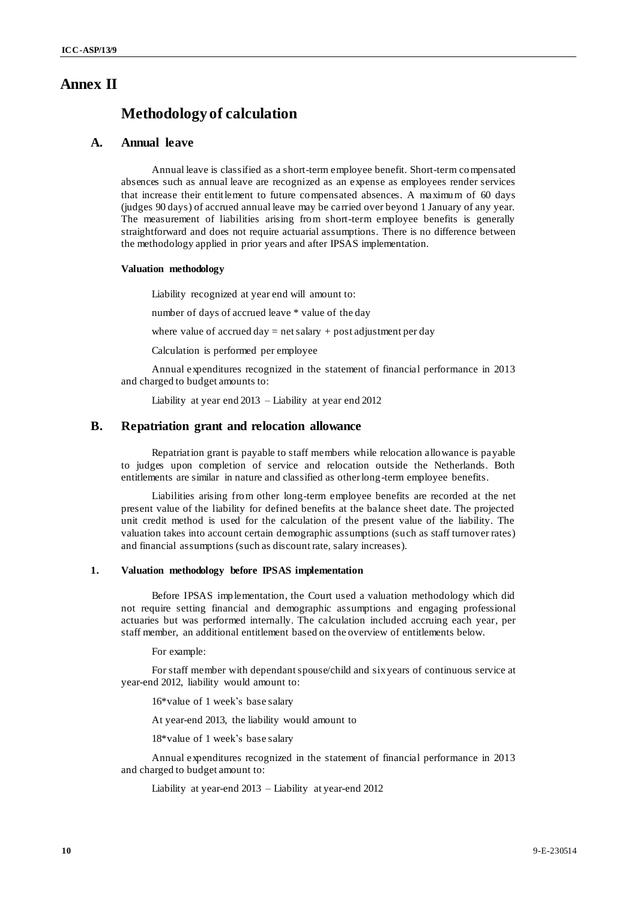### **Annex II**

### **Methodology of calculation**

#### **A. Annual leave**

Annual leave is classified as a short-term employee benefit. Short-term compensated absences such as annual leave are recognized as an expense as employees render services that increase their entitlement to future compensated absences. A maximum of 60 days (judges 90 days) of accrued annual leave may be carried over beyond 1 January of any year. The measurement of liabilities arising from short-term employee benefits is generally straightforward and does not require actuarial assumptions. There is no difference between the methodology applied in prior years and after IPSAS implementation.

#### **Valuation methodology**

Liability recognized at year end will amount to:

number of days of accrued leave \* value of the day

where value of accrued  $day = net$  salary  $+$  post adjustment per day

Calculation is performed per employee

Annual expenditures recognized in the statement of financial performance in 2013 and charged to budget amounts to:

Liability at year end 2013 – Liability at year end 2012

### **B. Repatriation grant and relocation allowance**

Repatriation grant is payable to staff members while relocation allowance is payable to judges upon completion of service and relocation outside the Netherlands. Both entitlements are similar in nature and classified as other long-term employee benefits.

Liabilities arising from other long-term employee benefits are recorded at the net present value of the liability for defined benefits at the balance sheet date. The projected unit credit method is used for the calculation of the present value of the liability. The valuation takes into account certain demographic assumptions (such as staff turnover rates) and financial assumptions (such as discount rate, salary increases).

### **1. Valuation methodology before IPSAS implementation**

Before IPSAS implementation, the Court used a valuation methodology which did not require setting financial and demographic assumptions and engaging professional actuaries but was performed internally. The calculation included accruing each year, per staff member, an additional entitlement based on the overview of entitlements below.

For example:

For staff member with dependant spouse/child and sixyears of continuous service at year-end 2012, liability would amount to:

16\*value of 1 week's base salary

At year-end 2013, the liability would amount to

18\*value of 1 week's base salary

Annual expenditures recognized in the statement of financial performance in 2013 and charged to budget amount to:

Liability at year-end 2013 – Liability at year-end 2012